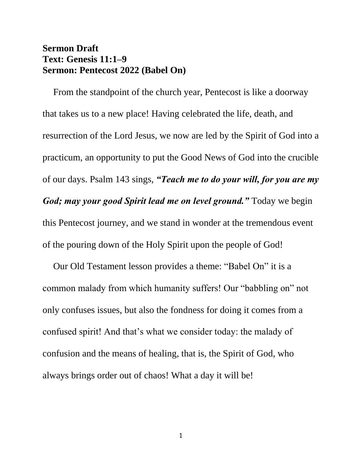## **Sermon Draft Text: Genesis 11:1–9 Sermon: Pentecost 2022 (Babel On)**

From the standpoint of the church year, Pentecost is like a doorway that takes us to a new place! Having celebrated the life, death, and resurrection of the Lord Jesus, we now are led by the Spirit of God into a practicum, an opportunity to put the Good News of God into the crucible of our days. Psalm 143 sings, *"Teach me to do your will, for you are my God; may your good Spirit lead me on level ground."* Today we begin this Pentecost journey, and we stand in wonder at the tremendous event of the pouring down of the Holy Spirit upon the people of God!

Our Old Testament lesson provides a theme: "Babel On" it is a common malady from which humanity suffers! Our "babbling on" not only confuses issues, but also the fondness for doing it comes from a confused spirit! And that's what we consider today: the malady of confusion and the means of healing, that is, the Spirit of God, who always brings order out of chaos! What a day it will be!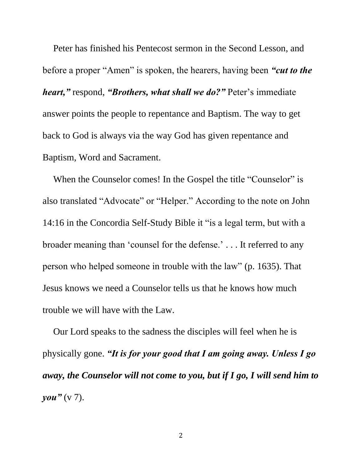Peter has finished his Pentecost sermon in the Second Lesson, and before a proper "Amen" is spoken, the hearers, having been *"cut to the heart,"* respond, *"Brothers, what shall we do?"* Peter's immediate answer points the people to repentance and Baptism. The way to get back to God is always via the way God has given repentance and Baptism, Word and Sacrament.

When the Counselor comes! In the Gospel the title "Counselor" is also translated "Advocate" or "Helper." According to the note on John 14:16 in the Concordia Self-Study Bible it "is a legal term, but with a broader meaning than 'counsel for the defense.' . . . It referred to any person who helped someone in trouble with the law" (p. 1635). That Jesus knows we need a Counselor tells us that he knows how much trouble we will have with the Law.

Our Lord speaks to the sadness the disciples will feel when he is physically gone. *"It is for your good that I am going away. Unless I go away, the Counselor will not come to you, but if I go, I will send him to you"* (v 7).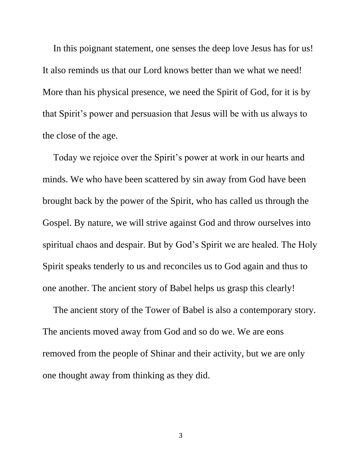In this poignant statement, one senses the deep love Jesus has for us! It also reminds us that our Lord knows better than we what we need! More than his physical presence, we need the Spirit of God, for it is by that Spirit's power and persuasion that Jesus will be with us always to the close of the age.

Today we rejoice over the Spirit's power at work in our hearts and minds. We who have been scattered by sin away from God have been brought back by the power of the Spirit, who has called us through the Gospel. By nature, we will strive against God and throw ourselves into spiritual chaos and despair. But by God's Spirit we are healed. The Holy Spirit speaks tenderly to us and reconciles us to God again and thus to one another. The ancient story of Babel helps us grasp this clearly!

The ancient story of the Tower of Babel is also a contemporary story. The ancients moved away from God and so do we. We are eons removed from the people of Shinar and their activity, but we are only one thought away from thinking as they did.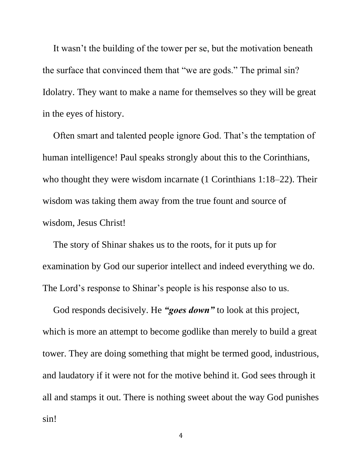It wasn't the building of the tower per se, but the motivation beneath the surface that convinced them that "we are gods." The primal sin? Idolatry. They want to make a name for themselves so they will be great in the eyes of history.

Often smart and talented people ignore God. That's the temptation of human intelligence! Paul speaks strongly about this to the Corinthians, who thought they were wisdom incarnate (1 Corinthians 1:18–22). Their wisdom was taking them away from the true fount and source of wisdom, Jesus Christ!

The story of Shinar shakes us to the roots, for it puts up for examination by God our superior intellect and indeed everything we do. The Lord's response to Shinar's people is his response also to us.

God responds decisively. He *"goes down"* to look at this project, which is more an attempt to become godlike than merely to build a great tower. They are doing something that might be termed good, industrious, and laudatory if it were not for the motive behind it. God sees through it all and stamps it out. There is nothing sweet about the way God punishes sin!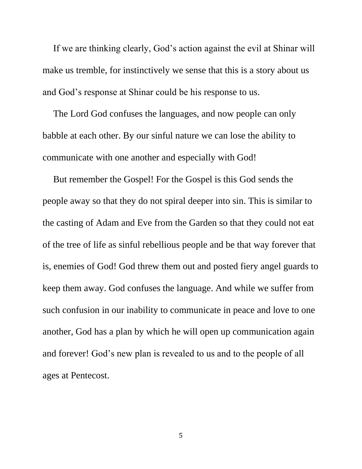If we are thinking clearly, God's action against the evil at Shinar will make us tremble, for instinctively we sense that this is a story about us and God's response at Shinar could be his response to us.

The Lord God confuses the languages, and now people can only babble at each other. By our sinful nature we can lose the ability to communicate with one another and especially with God!

But remember the Gospel! For the Gospel is this God sends the people away so that they do not spiral deeper into sin. This is similar to the casting of Adam and Eve from the Garden so that they could not eat of the tree of life as sinful rebellious people and be that way forever that is, enemies of God! God threw them out and posted fiery angel guards to keep them away. God confuses the language. And while we suffer from such confusion in our inability to communicate in peace and love to one another, God has a plan by which he will open up communication again and forever! God's new plan is revealed to us and to the people of all ages at Pentecost.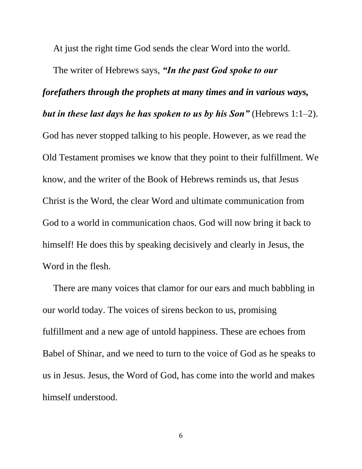At just the right time God sends the clear Word into the world.

The writer of Hebrews says, *"In the past God spoke to our forefathers through the prophets at many times and in various ways, but in these last days he has spoken to us by his Son"* (Hebrews 1:1–2). God has never stopped talking to his people. However, as we read the Old Testament promises we know that they point to their fulfillment. We know, and the writer of the Book of Hebrews reminds us, that Jesus Christ is the Word, the clear Word and ultimate communication from God to a world in communication chaos. God will now bring it back to himself! He does this by speaking decisively and clearly in Jesus, the Word in the flesh.

There are many voices that clamor for our ears and much babbling in our world today. The voices of sirens beckon to us, promising fulfillment and a new age of untold happiness. These are echoes from Babel of Shinar, and we need to turn to the voice of God as he speaks to us in Jesus. Jesus, the Word of God, has come into the world and makes himself understood.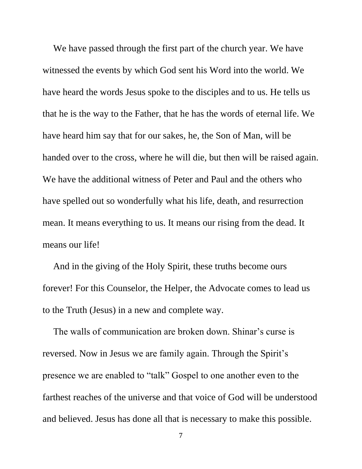We have passed through the first part of the church year. We have witnessed the events by which God sent his Word into the world. We have heard the words Jesus spoke to the disciples and to us. He tells us that he is the way to the Father, that he has the words of eternal life. We have heard him say that for our sakes, he, the Son of Man, will be handed over to the cross, where he will die, but then will be raised again. We have the additional witness of Peter and Paul and the others who have spelled out so wonderfully what his life, death, and resurrection mean. It means everything to us. It means our rising from the dead. It means our life!

And in the giving of the Holy Spirit, these truths become ours forever! For this Counselor, the Helper, the Advocate comes to lead us to the Truth (Jesus) in a new and complete way.

The walls of communication are broken down. Shinar's curse is reversed. Now in Jesus we are family again. Through the Spirit's presence we are enabled to "talk" Gospel to one another even to the farthest reaches of the universe and that voice of God will be understood and believed. Jesus has done all that is necessary to make this possible.